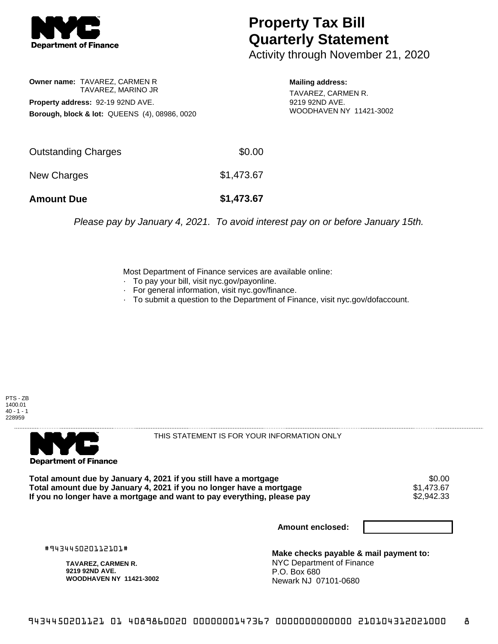

## **Property Tax Bill Quarterly Statement**

Activity through November 21, 2020

**Owner name:** TAVAREZ, CARMEN R TAVAREZ, MARINO JR **Property address:** 92-19 92ND AVE. **Borough, block & lot:** QUEENS (4), 08986, 0020

**Mailing address:** TAVAREZ, CARMEN R. 9219 92ND AVE. WOODHAVEN NY 11421-3002

| <b>Amount Due</b>   | \$1,473.67 |
|---------------------|------------|
| New Charges         | \$1,473.67 |
| Outstanding Charges | \$0.00     |

Please pay by January 4, 2021. To avoid interest pay on or before January 15th.

Most Department of Finance services are available online:

- · To pay your bill, visit nyc.gov/payonline.
- For general information, visit nyc.gov/finance.
- · To submit a question to the Department of Finance, visit nyc.gov/dofaccount.





THIS STATEMENT IS FOR YOUR INFORMATION ONLY

Total amount due by January 4, 2021 if you still have a mortgage \$0.00<br>Total amount due by January 4, 2021 if you no longer have a mortgage \$1.473.67 **Total amount due by January 4, 2021 if you no longer have a mortgage**  $$1,473.67$ **<br>If you no longer have a mortgage and want to pay everything, please pay**  $$2,942.33$ If you no longer have a mortgage and want to pay everything, please pay

**Amount enclosed:**

#943445020112101#

**TAVAREZ, CARMEN R. 9219 92ND AVE. WOODHAVEN NY 11421-3002**

**Make checks payable & mail payment to:** NYC Department of Finance P.O. Box 680 Newark NJ 07101-0680